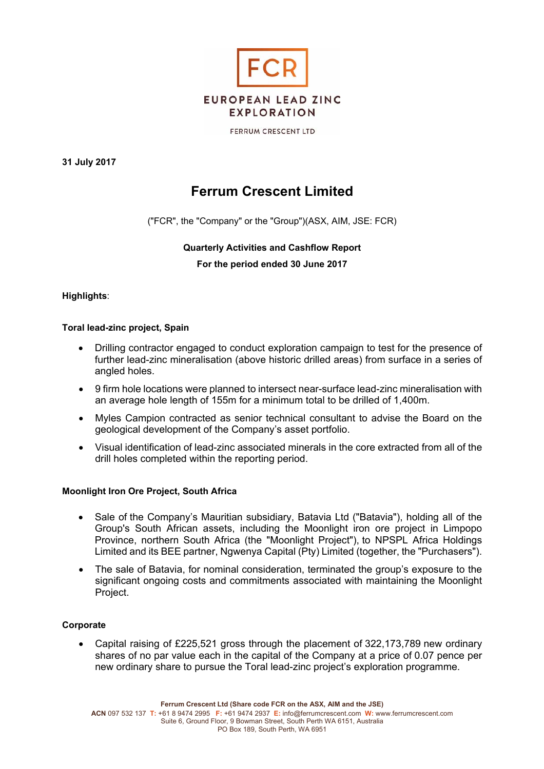

**FERRUM CRESCENT LTD** 

**31 July 2017** 

# **Ferrum Crescent Limited**

("FCR", the "Company" or the "Group")(ASX, AIM, JSE: FCR)

# **Quarterly Activities and Cashflow Report For the period ended 30 June 2017**

# **Highlights**:

# **Toral lead-zinc project, Spain**

- Drilling contractor engaged to conduct exploration campaign to test for the presence of further lead-zinc mineralisation (above historic drilled areas) from surface in a series of angled holes.
- 9 firm hole locations were planned to intersect near-surface lead-zinc mineralisation with an average hole length of 155m for a minimum total to be drilled of 1,400m.
- Myles Campion contracted as senior technical consultant to advise the Board on the geological development of the Company's asset portfolio.
- Visual identification of lead-zinc associated minerals in the core extracted from all of the drill holes completed within the reporting period.

# **Moonlight Iron Ore Project, South Africa**

- Sale of the Company's Mauritian subsidiary, Batavia Ltd ("Batavia"), holding all of the Group's South African assets, including the Moonlight iron ore project in Limpopo Province, northern South Africa (the "Moonlight Project"), to NPSPL Africa Holdings Limited and its BEE partner, Ngwenya Capital (Pty) Limited (together, the "Purchasers").
- The sale of Batavia, for nominal consideration, terminated the group's exposure to the significant ongoing costs and commitments associated with maintaining the Moonlight Project.

# **Corporate**

 Capital raising of £225,521 gross through the placement of 322,173,789 new ordinary shares of no par value each in the capital of the Company at a price of 0.07 pence per new ordinary share to pursue the Toral lead-zinc project's exploration programme.

**Ferrum Crescent Ltd (Share code FCR on the ASX, AIM and the JSE)**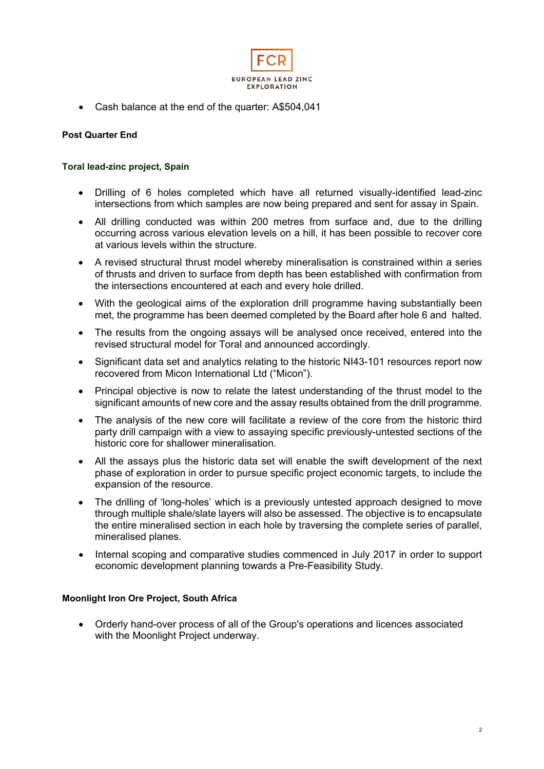

Cash balance at the end of the quarter: A\$504,041

# **Post Quarter End**

# **Toral lead-zinc project, Spain**

- Drilling of 6 holes completed which have all returned visually-identified lead-zinc intersections from which samples are now being prepared and sent for assay in Spain.
- All drilling conducted was within 200 metres from surface and, due to the drilling occurring across various elevation levels on a hill, it has been possible to recover core at various levels within the structure.
- A revised structural thrust model whereby mineralisation is constrained within a series of thrusts and driven to surface from depth has been established with confirmation from the intersections encountered at each and every hole drilled.
- With the geological aims of the exploration drill programme having substantially been met, the programme has been deemed completed by the Board after hole 6 and halted.
- The results from the ongoing assays will be analysed once received, entered into the revised structural model for Toral and announced accordingly.
- Significant data set and analytics relating to the historic NI43-101 resources report now recovered from Micon International Ltd ("Micon").
- Principal objective is now to relate the latest understanding of the thrust model to the significant amounts of new core and the assay results obtained from the drill programme.
- The analysis of the new core will facilitate a review of the core from the historic third party drill campaign with a view to assaying specific previously-untested sections of the historic core for shallower mineralisation.
- All the assays plus the historic data set will enable the swift development of the next phase of exploration in order to pursue specific project economic targets, to include the expansion of the resource.
- The drilling of 'long-holes' which is a previously untested approach designed to move through multiple shale/slate layers will also be assessed. The objective is to encapsulate the entire mineralised section in each hole by traversing the complete series of parallel, mineralised planes.
- Internal scoping and comparative studies commenced in July 2017 in order to support economic development planning towards a Pre-Feasibility Study.

# **Moonlight Iron Ore Project, South Africa**

 Orderly hand-over process of all of the Group's operations and licences associated with the Moonlight Project underway.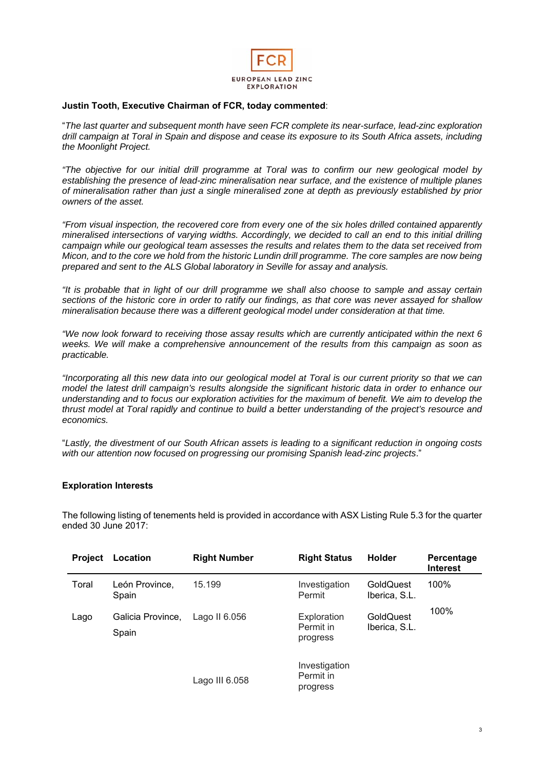

# **Justin Tooth, Executive Chairman of FCR, today commented**:

"*The last quarter and subsequent month have seen FCR complete its near-surface, lead-zinc exploration drill campaign at Toral in Spain and dispose and cease its exposure to its South Africa assets, including the Moonlight Project.* 

*"The objective for our initial drill programme at Toral was to confirm our new geological model by establishing the presence of lead-zinc mineralisation near surface, and the existence of multiple planes of mineralisation rather than just a single mineralised zone at depth as previously established by prior owners of the asset.* 

*"From visual inspection, the recovered core from every one of the six holes drilled contained apparently mineralised intersections of varying widths. Accordingly, we decided to call an end to this initial drilling campaign while our geological team assesses the results and relates them to the data set received from Micon, and to the core we hold from the historic Lundin drill programme. The core samples are now being prepared and sent to the ALS Global laboratory in Seville for assay and analysis.* 

*"It is probable that in light of our drill programme we shall also choose to sample and assay certain sections of the historic core in order to ratify our findings, as that core was never assayed for shallow mineralisation because there was a different geological model under consideration at that time.*

*"We now look forward to receiving those assay results which are currently anticipated within the next 6 weeks. We will make a comprehensive announcement of the results from this campaign as soon as practicable.* 

*"Incorporating all this new data into our geological model at Toral is our current priority so that we can model the latest drill campaign's results alongside the significant historic data in order to enhance our understanding and to focus our exploration activities for the maximum of benefit. We aim to develop the thrust model at Toral rapidly and continue to build a better understanding of the project's resource and economics.* 

"*Lastly, the divestment of our South African assets is leading to a significant reduction in ongoing costs with our attention now focused on progressing our promising Spanish lead-zinc projects*."

### **Exploration Interests**

The following listing of tenements held is provided in accordance with ASX Listing Rule 5.3 for the quarter ended 30 June 2017:

| <b>Project</b> | Location                   | <b>Right Number</b> | <b>Right Status</b>                    | <b>Holder</b>              | Percentage<br><b>Interest</b> |
|----------------|----------------------------|---------------------|----------------------------------------|----------------------------|-------------------------------|
| Toral          | León Province,<br>Spain    | 15.199              | Investigation<br>Permit                | GoldQuest<br>Iberica, S.L. | 100%                          |
| Lago           | Galicia Province,<br>Spain | Lago II 6.056       | Exploration<br>Permit in<br>progress   | GoldQuest<br>Iberica, S.L. | 100%                          |
|                |                            | Lago III 6.058      | Investigation<br>Permit in<br>progress |                            |                               |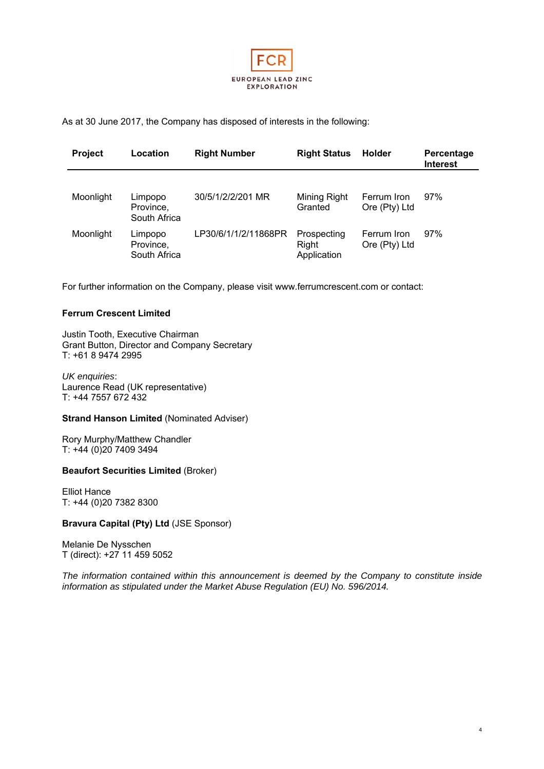

As at 30 June 2017, the Company has disposed of interests in the following:

| <b>Project</b> | Location                             | <b>Right Number</b>  | <b>Right Status</b>                 | <b>Holder</b>                | Percentage<br><b>Interest</b> |
|----------------|--------------------------------------|----------------------|-------------------------------------|------------------------------|-------------------------------|
| Moonlight      | Limpopo<br>Province,<br>South Africa | 30/5/1/2/2/201 MR    | Mining Right<br>Granted             | Ferrum Iron<br>Ore (Pty) Ltd | 97%                           |
| Moonlight      | Limpopo<br>Province,<br>South Africa | LP30/6/1/1/2/11868PR | Prospecting<br>Right<br>Application | Ferrum Iron<br>Ore (Pty) Ltd | 97%                           |

For further information on the Company, please visit www.ferrumcrescent.com or contact:

#### **Ferrum Crescent Limited**

Justin Tooth, Executive Chairman Grant Button, Director and Company Secretary T: +61 8 9474 2995

*UK enquiries*: Laurence Read (UK representative) T: +44 7557 672 432

#### **Strand Hanson Limited** (Nominated Adviser)

Rory Murphy/Matthew Chandler T: +44 (0)20 7409 3494

#### **Beaufort Securities Limited** (Broker)

Elliot Hance T: +44 (0)20 7382 8300

#### **Bravura Capital (Pty) Ltd** (JSE Sponsor)

Melanie De Nysschen T (direct): +27 11 459 5052

*The information contained within this announcement is deemed by the Company to constitute inside information as stipulated under the Market Abuse Regulation (EU) No. 596/2014.*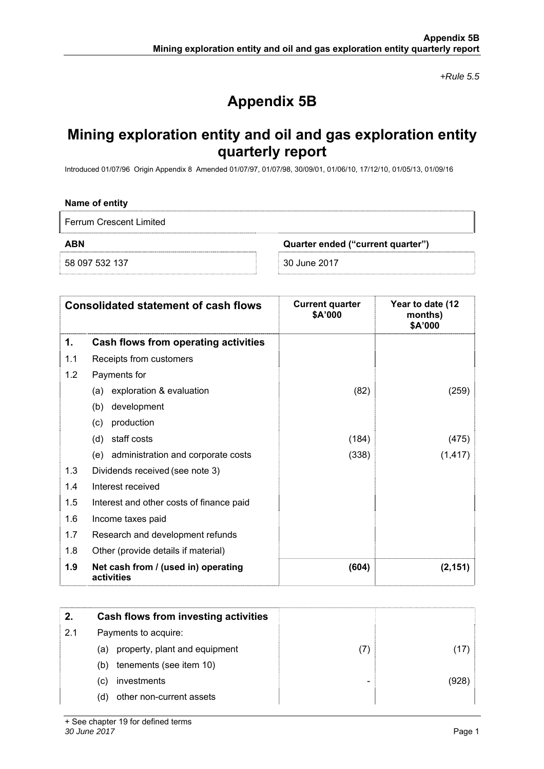*+Rule 5.5* 

# **Appendix 5B**

# **Mining exploration entity and oil and gas exploration entity quarterly report**

Introduced 01/07/96 Origin Appendix 8 Amended 01/07/97, 01/07/98, 30/09/01, 01/06/10, 17/12/10, 01/05/13, 01/09/16

#### **Name of entity**

Ferrum Crescent Limited

58 097 532 137 30 June 2017

**ABN Quarter ended ("current quarter")** 

|     | <b>Consolidated statement of cash flows</b>       | <b>Current quarter</b><br>\$A'000 | Year to date (12<br>months)<br>\$A'000 |
|-----|---------------------------------------------------|-----------------------------------|----------------------------------------|
| 1.  | Cash flows from operating activities              |                                   |                                        |
| 1.1 | Receipts from customers                           |                                   |                                        |
| 1.2 | Payments for                                      |                                   |                                        |
|     | exploration & evaluation<br>(a)                   | (82)                              | (259)                                  |
|     | development<br>(b)                                |                                   |                                        |
|     | production<br>(c)                                 |                                   |                                        |
|     | staff costs<br>(d)                                | (184)                             | (475)                                  |
|     | (e) administration and corporate costs            | (338)                             | (1, 417)                               |
| 1.3 | Dividends received (see note 3)                   |                                   |                                        |
| 1.4 | Interest received                                 |                                   |                                        |
| 1.5 | Interest and other costs of finance paid          |                                   |                                        |
| 1.6 | Income taxes paid                                 |                                   |                                        |
| 1.7 | Research and development refunds                  |                                   |                                        |
| 1.8 | Other (provide details if material)               |                                   |                                        |
| 1.9 | Net cash from / (used in) operating<br>activities | (604)                             | (2, 151)                               |

| 2.  | Cash flows from investing activities |    |       |
|-----|--------------------------------------|----|-------|
| 2.1 | Payments to acquire:                 |    |       |
|     | property, plant and equipment<br>(a) | (7 |       |
|     | tenements (see item 10)<br>(b)       |    |       |
|     | investments<br>(C)                   |    | (928) |
|     | other non-current assets<br>(d)      |    |       |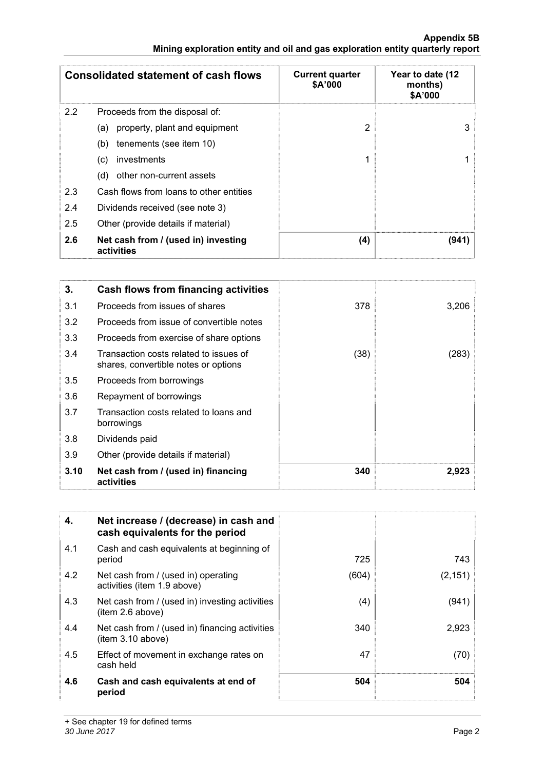|                  | <b>Consolidated statement of cash flows</b>       | <b>Current quarter</b><br>\$A'000 | Year to date (12<br>months)<br>\$A'000 |
|------------------|---------------------------------------------------|-----------------------------------|----------------------------------------|
| $2.2\phantom{0}$ | Proceeds from the disposal of:                    |                                   |                                        |
|                  | property, plant and equipment<br>(a)              | 2                                 | 3                                      |
|                  | tenements (see item 10)<br>(b)                    |                                   |                                        |
|                  | investments<br>(c)                                | 1                                 |                                        |
|                  | other non-current assets<br>(d)                   |                                   |                                        |
| 2.3              | Cash flows from loans to other entities           |                                   |                                        |
| 2.4              | Dividends received (see note 3)                   |                                   |                                        |
| 2.5              | Other (provide details if material)               |                                   |                                        |
| 2.6              | Net cash from / (used in) investing<br>activities | (4)                               | (941)                                  |

| 3.   | Cash flows from financing activities                                           |      |       |
|------|--------------------------------------------------------------------------------|------|-------|
| 3.1  | Proceeds from issues of shares                                                 | 378  | 3,206 |
| 3.2  | Proceeds from issue of convertible notes                                       |      |       |
| 3.3  | Proceeds from exercise of share options                                        |      |       |
| 3.4  | Transaction costs related to issues of<br>shares, convertible notes or options | (38) | (283) |
| 3.5  | Proceeds from borrowings                                                       |      |       |
| 3.6  | Repayment of borrowings                                                        |      |       |
| 3.7  | Transaction costs related to loans and<br>borrowings                           |      |       |
| 3.8  | Dividends paid                                                                 |      |       |
| 3.9  | Other (provide details if material)                                            |      |       |
| 3.10 | Net cash from / (used in) financing<br>activities                              | 340  | 2,923 |

| 4.  | Net increase / (decrease) in cash and<br>cash equivalents for the period |       |          |
|-----|--------------------------------------------------------------------------|-------|----------|
| 4.1 | Cash and cash equivalents at beginning of<br>period                      | 725   | 743      |
| 4.2 | Net cash from / (used in) operating<br>activities (item 1.9 above)       | (604) | (2, 151) |
| 4.3 | Net cash from / (used in) investing activities<br>(item 2.6 above)       | (4)   | (941)    |
| 4.4 | Net cash from / (used in) financing activities<br>item 3.10 above)       | 340   | 2,923    |
| 4.5 | Effect of movement in exchange rates on<br>cash held                     | 47    | (70)     |
| 4.6 | Cash and cash equivalents at end of<br>period                            | 504   | 504      |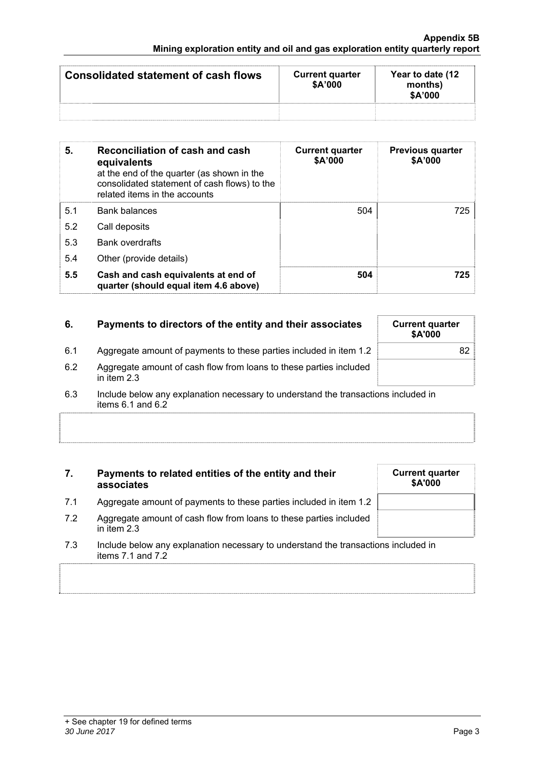| <b>Consolidated statement of cash flows</b> | <b>Current quarter</b><br>\$A'000 | Year to date (12)<br>months)<br>\$A'000 |
|---------------------------------------------|-----------------------------------|-----------------------------------------|
|                                             |                                   |                                         |

| 5.  | Reconciliation of cash and cash<br>equivalents<br>at the end of the quarter (as shown in the<br>consolidated statement of cash flows) to the<br>related items in the accounts | <b>Current quarter</b><br>\$A'000 | <b>Previous quarter</b><br>\$A'000 |
|-----|-------------------------------------------------------------------------------------------------------------------------------------------------------------------------------|-----------------------------------|------------------------------------|
| 5.1 | <b>Bank balances</b>                                                                                                                                                          | 504                               | 725                                |
| 5.2 | Call deposits                                                                                                                                                                 |                                   |                                    |
| 5.3 | <b>Bank overdrafts</b>                                                                                                                                                        |                                   |                                    |
| 5.4 | Other (provide details)                                                                                                                                                       |                                   |                                    |
| 5.5 | Cash and cash equivalents at end of<br>quarter (should equal item 4.6 above)                                                                                                  | 504                               | 725                                |

| 6.  | Payments to directors of the entity and their associates                          | <b>Current quarter</b><br>\$A'000 |
|-----|-----------------------------------------------------------------------------------|-----------------------------------|
| 6.1 | Aggregate amount of payments to these parties included in item 1.2                | 82                                |
| 6.2 | Aggregate amount of cash flow from loans to these parties included<br>in item 2.3 |                                   |

6.3 Include below any explanation necessary to understand the transactions included in items 6.1 and 6.2

# **7. Payments to related entities of the entity and their associates**

- 7.1 Aggregate amount of payments to these parties included in item 1.2
- 7.2 Aggregate amount of cash flow from loans to these parties included in item 2.3
- 7.3 Include below any explanation necessary to understand the transactions included in items 7.1 and 7.2

| <b>Current quarter</b><br>\$A'000 |  |  |
|-----------------------------------|--|--|
|                                   |  |  |
|                                   |  |  |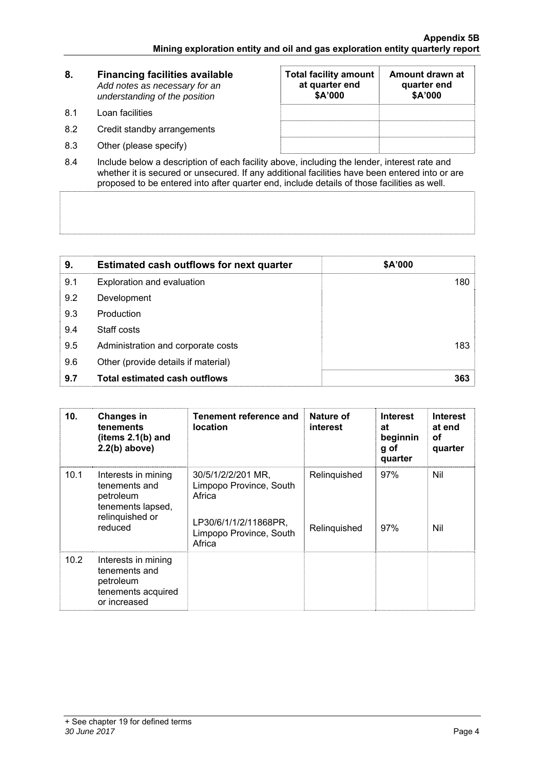| 8.   | <b>Financing facilities available</b><br>Add notes as necessary for an<br>understanding of the position | <b>Total facility amount</b><br>at quarter end<br>\$A'000 | Amount drawn at<br>quarter end<br>\$A'000 |
|------|---------------------------------------------------------------------------------------------------------|-----------------------------------------------------------|-------------------------------------------|
| -8.1 | Loan facilities                                                                                         |                                                           |                                           |
| 8.2  | Credit standby arrangements                                                                             |                                                           |                                           |
| 8.3  | Other (please specify)                                                                                  |                                                           |                                           |

8.4 Include below a description of each facility above, including the lender, interest rate and whether it is secured or unsecured. If any additional facilities have been entered into or are proposed to be entered into after quarter end, include details of those facilities as well.

| 9.  | <b>Estimated cash outflows for next quarter</b> | \$A'000 |
|-----|-------------------------------------------------|---------|
| 9.1 | Exploration and evaluation                      | 180     |
| 9.2 | Development                                     |         |
| 9.3 | Production                                      |         |
| 9.4 | Staff costs                                     |         |
| 9.5 | Administration and corporate costs              | 183     |
| 9.6 | Other (provide details if material)             |         |
| 9.7 | <b>Total estimated cash outflows</b>            | 363     |

| 10.  | <b>Changes in</b><br>tenements<br>(items $2.1(b)$ and<br>$2.2(b)$ above)                             | Tenement reference and<br><b>location</b>                                                                             | Nature of<br>interest        | <b>Interest</b><br>at<br>beginnin<br>g of<br>quarter | <b>Interest</b><br>at end<br>οf<br>quarter |
|------|------------------------------------------------------------------------------------------------------|-----------------------------------------------------------------------------------------------------------------------|------------------------------|------------------------------------------------------|--------------------------------------------|
| 10.1 | Interests in mining<br>tenements and<br>petroleum<br>tenements lapsed,<br>relinquished or<br>reduced | 30/5/1/2/2/201 MR.<br>Limpopo Province, South<br>Africa<br>LP30/6/1/1/2/11868PR,<br>Limpopo Province, South<br>Africa | Relinquished<br>Relinquished | 97%<br>97%                                           | Nil<br>Nil                                 |
| 10.2 | Interests in mining<br>tenements and<br>petroleum<br>tenements acquired<br>or increased              |                                                                                                                       |                              |                                                      |                                            |